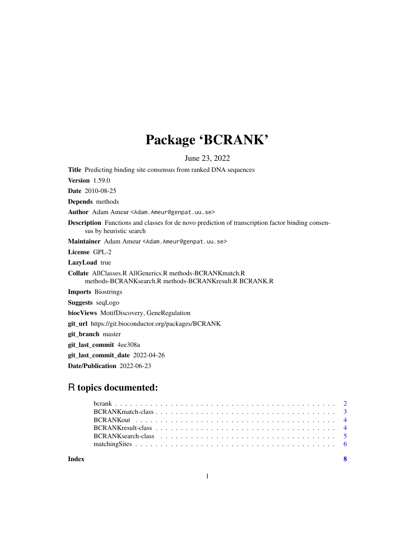## Package 'BCRANK'

June 23, 2022

Title Predicting binding site consensus from ranked DNA sequences Version 1.59.0 Date 2010-08-25 Depends methods Author Adam Ameur <Adam.Ameur@genpat.uu.se> Description Functions and classes for de novo prediction of transcription factor binding consensus by heuristic search Maintainer Adam Ameur <Adam.Ameur@genpat.uu.se> License GPL-2 LazyLoad true Collate AllClasses.R AllGenerics.R methods-BCRANKmatch.R methods-BCRANKsearch.R methods-BCRANKresult.R BCRANK.R Imports Biostrings Suggests seqLogo biocViews MotifDiscovery, GeneRegulation git\_url https://git.bioconductor.org/packages/BCRANK git\_branch master git\_last\_commit 4ee308a git\_last\_commit\_date 2022-04-26

Date/Publication 2022-06-23

### R topics documented:

| Index |  |
|-------|--|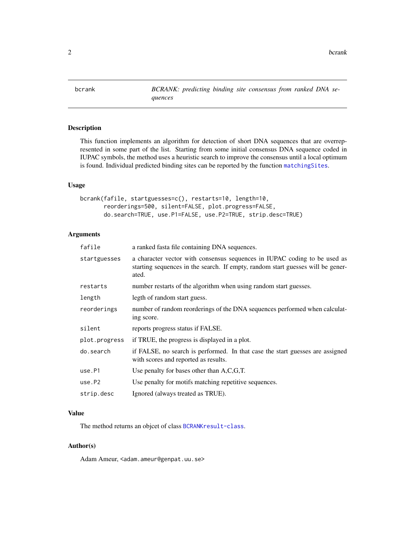<span id="page-1-1"></span><span id="page-1-0"></span>bcrank *BCRANK: predicting binding site consensus from ranked DNA sequences*

#### Description

This function implements an algorithm for detection of short DNA sequences that are overrepresented in some part of the list. Starting from some initial consensus DNA sequence coded in IUPAC symbols, the method uses a heuristic search to improve the consensus until a local optimum is found. Individual predicted binding sites can be reported by the function [matchingSites](#page-5-1).

#### Usage

```
bcrank(fafile, startguesses=c(), restarts=10, length=10,
       reorderings=500, silent=FALSE, plot.progress=FALSE,
       do.search=TRUE, use.P1=FALSE, use.P2=TRUE, strip.desc=TRUE)
```
#### Arguments

| fafile        | a ranked fasta file containing DNA sequences.                                                                                                                         |
|---------------|-----------------------------------------------------------------------------------------------------------------------------------------------------------------------|
| startguesses  | a character vector with consensus sequences in IUPAC coding to be used as<br>starting sequences in the search. If empty, random start guesses will be gener-<br>ated. |
| restarts      | number restarts of the algorithm when using random start guesses.                                                                                                     |
| length        | legth of random start guess.                                                                                                                                          |
| reorderings   | number of random reorderings of the DNA sequences performed when calculat-<br>ing score.                                                                              |
| silent        | reports progress status if FALSE.                                                                                                                                     |
| plot.progress | if TRUE, the progress is displayed in a plot.                                                                                                                         |
| do.search     | if FALSE, no search is performed. In that case the start guesses are assigned<br>with scores and reported as results.                                                 |
| use.P1        | Use penalty for bases other than $A, C, G, T$ .                                                                                                                       |
| use.P2        | Use penalty for motifs matching repetitive sequences.                                                                                                                 |
| strip.desc    | Ignored (always treated as TRUE).                                                                                                                                     |

#### Value

The method returns an objcet of class [BCRANKresult-class](#page-3-1).

#### Author(s)

Adam Ameur, <adam.ameur@genpat.uu.se>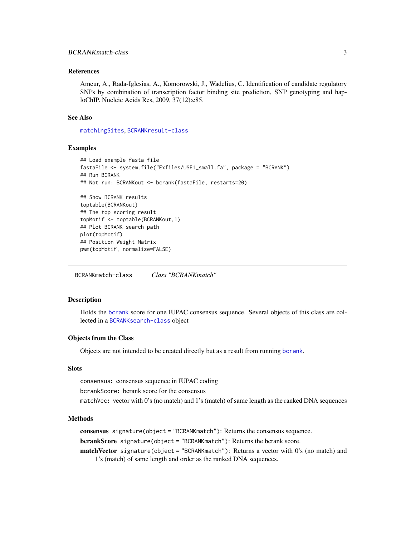#### <span id="page-2-0"></span>References

Ameur, A., Rada-Iglesias, A., Komorowski, J., Wadelius, C. Identification of candidate regulatory SNPs by combination of transcription factor binding site prediction, SNP genotyping and haploChIP. Nucleic Acids Res, 2009, 37(12):e85.

#### See Also

[matchingSites](#page-5-1), [BCRANKresult-class](#page-3-1)

#### Examples

```
## Load example fasta file
fastaFile <- system.file("Exfiles/USF1_small.fa", package = "BCRANK")
## Run BCRANK
## Not run: BCRANKout <- bcrank(fastaFile, restarts=20)
## Show BCRANK results
toptable(BCRANKout)
## The top scoring result
topMotif <- toptable(BCRANKout,1)
## Plot BCRANK search path
plot(topMotif)
## Position Weight Matrix
pwm(topMotif, normalize=FALSE)
```
<span id="page-2-1"></span>BCRANKmatch-class *Class "BCRANKmatch"*

#### Description

Holds the [bcrank](#page-1-1) score for one IUPAC consensus sequence. Several objects of this class are collected in a [BCRANKsearch-class](#page-4-1) object

#### Objects from the Class

Objects are not intended to be created directly but as a result from running [bcrank](#page-1-1).

#### Slots

consensus: consensus sequence in IUPAC coding

bcrankScore: bcrank score for the consensus

matchVec: vector with 0's (no match) and 1's (match) of same length as the ranked DNA sequences

#### Methods

consensus signature(object = "BCRANKmatch"): Returns the consensus sequence.

bcrankScore signature(object = "BCRANKmatch"): Returns the bcrank score.

matchVector signature(object = "BCRANKmatch"): Returns a vector with 0's (no match) and 1's (match) of same length and order as the ranked DNA sequences.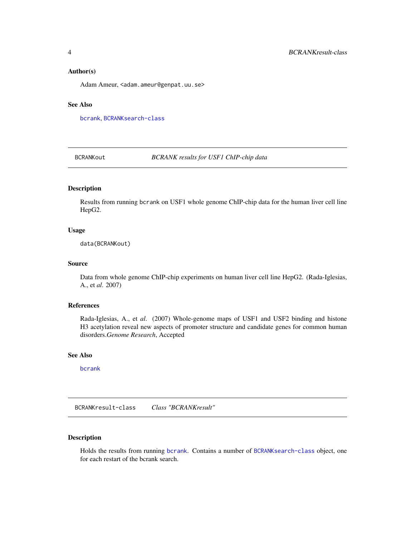#### <span id="page-3-0"></span>Author(s)

Adam Ameur, <adam.ameur@genpat.uu.se>

#### See Also

[bcrank](#page-1-1), [BCRANKsearch-class](#page-4-1)

BCRANKout *BCRANK results for USF1 ChIP-chip data*

#### Description

Results from running bcrank on USF1 whole genome ChIP-chip data for the human liver cell line HepG2.

#### Usage

data(BCRANKout)

#### Source

Data from whole genome ChIP-chip experiments on human liver cell line HepG2. (Rada-Iglesias, A., et *al*. 2007)

#### References

Rada-Iglesias, A., et *al*. (2007) Whole-genome maps of USF1 and USF2 binding and histone H3 acetylation reveal new aspects of promoter structure and candidate genes for common human disorders.*Genome Research*, Accepted

#### See Also

[bcrank](#page-1-1)

<span id="page-3-1"></span>BCRANKresult-class *Class "BCRANKresult"*

#### Description

Holds the results from running [bcrank](#page-1-1). Contains a number of [BCRANKsearch-class](#page-4-1) object, one for each restart of the bcrank search.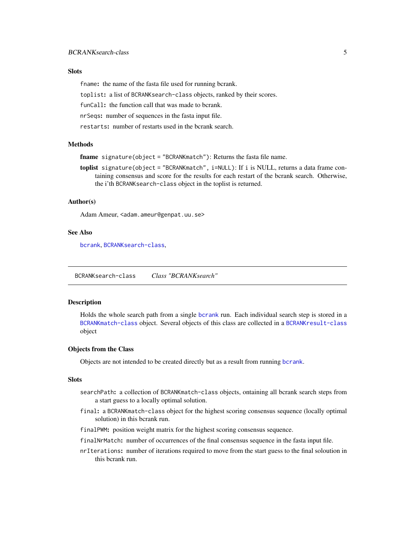#### <span id="page-4-0"></span>**Slots**

fname: the name of the fasta file used for running bcrank.

toplist: a list of BCRANKsearch-class objects, ranked by their scores.

funCall: the function call that was made to bcrank.

nrSeqs: number of sequences in the fasta input file.

restarts: number of restarts used in the bcrank search.

#### **Methods**

fname signature(object = "BCRANKmatch"): Returns the fasta file name.

toplist signature(object = "BCRANKmatch", i=NULL): If i is NULL, returns a data frame containing consensus and score for the results for each restart of the bcrank search. Otherwise, the i'th BCRANKsearch-class object in the toplist is returned.

#### Author(s)

Adam Ameur, <adam.ameur@genpat.uu.se>

#### See Also

[bcrank](#page-1-1), [BCRANKsearch-class](#page-4-1),

<span id="page-4-1"></span>BCRANKsearch-class *Class "BCRANKsearch"*

#### Description

Holds the whole search path from a single [bcrank](#page-1-1) run. Each individual search step is stored in a [BCRANKmatch-class](#page-2-1) object. Several objects of this class are collected in a [BCRANKresult-class](#page-3-1) object

#### Objects from the Class

Objects are not intended to be created directly but as a result from running [bcrank](#page-1-1).

#### **Slots**

- searchPath: a collection of BCRANKmatch-class objects, ontaining all bcrank search steps from a start guess to a locally optimal solution.
- final: a BCRANKmatch-class object for the highest scoring consensus sequence (locally optimal solution) in this bcrank run.
- finalPWM: position weight matrix for the highest scoring consensus sequence.

finalNrMatch: number of occurrences of the final consensus sequence in the fasta input file.

nrIterations: number of iterations required to move from the start guess to the final soloution in this bcrank run.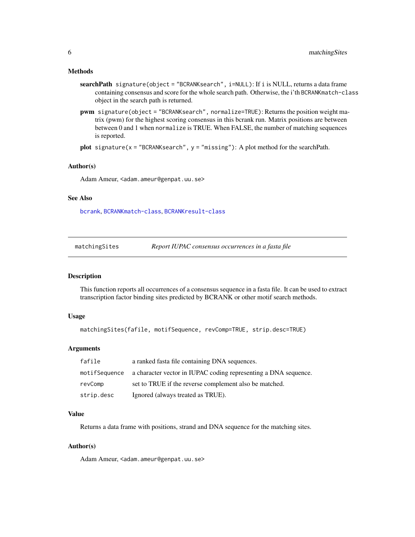#### <span id="page-5-0"></span>Methods

- searchPath signature(object = "BCRANKsearch", i=NULL): If i is NULL, returns a data frame containing consensus and score for the whole search path. Otherwise, the i'th BCRANKmatch-class object in the search path is returned.
- pwm signature(object = "BCRANKsearch", normalize=TRUE): Returns the position weight matrix (pwm) for the highest scoring consensus in this bcrank run. Matrix positions are between between 0 and 1 when normalize is TRUE. When FALSE, the number of matching sequences is reported.

```
plot signature(x = "BCRANKsearch", y = "missing"): A plot method for the searchPath.
```
#### Author(s)

Adam Ameur, <adam.ameur@genpat.uu.se>

#### See Also

[bcrank](#page-1-1), [BCRANKmatch-class](#page-2-1), [BCRANKresult-class](#page-3-1)

<span id="page-5-1"></span>matchingSites *Report IUPAC consensus occurrences in a fasta file*

#### Description

This function reports all occurrences of a consensus sequence in a fasta file. It can be used to extract transcription factor binding sites predicted by BCRANK or other motif search methods.

#### Usage

```
matchingSites(fafile, motifSequence, revComp=TRUE, strip.desc=TRUE)
```
#### Arguments

| fafile        | a ranked fasta file containing DNA sequences.                   |
|---------------|-----------------------------------------------------------------|
| motifSequence | a character vector in IUPAC coding representing a DNA sequence. |
| revComp       | set to TRUE if the reverse complement also be matched.          |
| strip.desc    | Ignored (always treated as TRUE).                               |

#### Value

Returns a data frame with positions, strand and DNA sequence for the matching sites.

#### Author(s)

Adam Ameur, <adam.ameur@genpat.uu.se>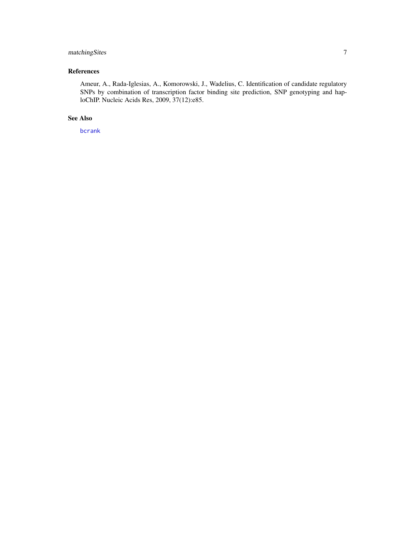#### <span id="page-6-0"></span>matchingSites 7

#### References

Ameur, A., Rada-Iglesias, A., Komorowski, J., Wadelius, C. Identification of candidate regulatory SNPs by combination of transcription factor binding site prediction, SNP genotyping and haploChIP. Nucleic Acids Res, 2009, 37(12):e85.

#### See Also

[bcrank](#page-1-1)